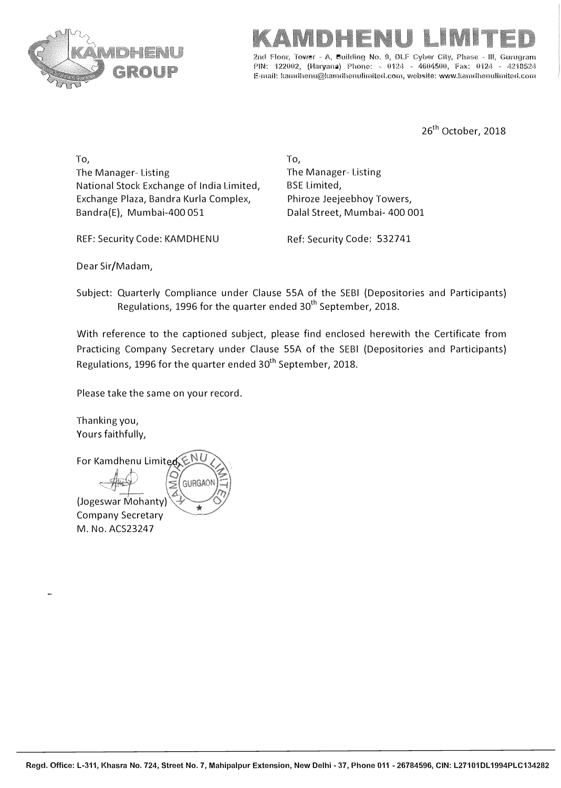

# IMIT

2nd Floor, Tower - A, Building No. 9, DLF Cyber City, Phase **PIN: 122002, (Haryana) Phone: • 0124 - 4604500, Fax: 0i24 - 42"18524 E•mail: kamdhenu@karndhenulimited.com, website: www.kamdhenulimited.com** 

26<sup>th</sup> October, 2018

To, The Manager- Listing National Stock Exchange of India Limited, Exchange Plaza, Bandra Kurla Complex, Bandra(E), Mumbai-400 051

REF: Security Code: KAMDHENU Ref: Security Code: 532741

To, The Manager- Listing BSE Limited, Phiroze Jeejeebhoy Towers, Dalal Street, Mumbai- 400 001

Dear Sir/Madam,

Subject: Quarterly Compliance under Clause SSA of the SEBI (Depositories and Participants) Regulations, 1996 for the quarter ended 30<sup>th</sup> September, 2018.

With reference to the captioned subject, please find enclosed herewith the Certificate from Practicing Company Secretary under Clause SSA of the SEBI (Depositories and Participants) Regulations, 1996 for the quarter ended 30<sup>th</sup> September, 2018.

Please take the same on your record.

Thanking you, Yours faithfully,

For Kamdhenu Limit *I-* GURGAOI (Jogeswar Mohanty)\� \* Company Secretary M. No. ACS23247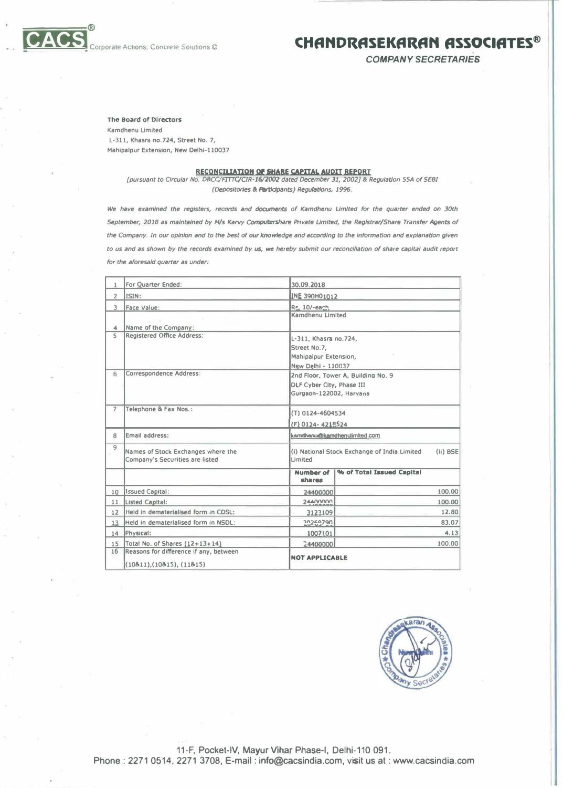

### **COrporate Actions; Concrete Solutions** © **CHANDRASEKARAN ASSOCIATES**<sup>®</sup>

*COMPANY SECRETARIES* 

#### **The Board of Directors**

**Kamdhenu Limited L-311, Khasra no.724, Street No. 7, Mahipalpur Extension, New Delhl-110037**

#### **RECONCILIATION Of SHARE CAPITAL AUDIT REPORT**

*[pursuant to Circular No. D&CC/FITTC/CTR-16{2002 dated Deamber 31, 2002)* **&** *Regulation SSA of SEBI (Depositor/es .t Pertldpants) Regulations, 1996.* 

*We have examined the registers, records* **and** *documents of Kamdhenu Umlted for the quarter ended on 30th September, 2018* **as** *maintained by M/s Karvy Computershare Private Umlted, the Registrar/Share Transfer Agents of the Company. In our opinion and to the best of our knowledge and according to the Information and explanation given to us and as shown by the records examined by us,* **we** *hereby submit our reconcl/Jatlon of share capital audit report for the aforesaid quarter as under:* 

|                                 | For Quarter Ended:                                                    | 30.09.2018                                                                                        |                           |        |  |  |
|---------------------------------|-----------------------------------------------------------------------|---------------------------------------------------------------------------------------------------|---------------------------|--------|--|--|
| $\overline{2}$                  | ISIN:                                                                 | INE 390H01012                                                                                     |                           |        |  |  |
| $\mathcal{L}$<br>$\overline{4}$ | Face Value:<br>Name of the Company:                                   | Rs. 10/-each                                                                                      | Kamdhenu Limited          |        |  |  |
| 5                               | <b>Registered Office Address:</b>                                     | L-311, Khasra no.724,<br>Street No.7,<br>Mahipalpur Extension,<br>New Delhi - 110037              |                           |        |  |  |
| 6                               | Correspondence Address:                                               | 2nd Floor, Tower A, Building No. 9<br><b>DLF Cyber City, Phase III</b><br>Gurgaon-122002, Haryana |                           |        |  |  |
| $\overline{7}$                  | Telephone & Fax Nos.:                                                 | (T) 0124-4604534<br>(F) 0124-4218524                                                              |                           |        |  |  |
| 8                               | Email address:                                                        | kamdhenu@kamdhenulimited.com                                                                      |                           |        |  |  |
| $\overline{q}$                  | Names of Stock Exchanges where the<br>Company's Securities are listed | (ii) BSE<br>(i) National Stock Exchange of India Limited<br>Limited                               |                           |        |  |  |
|                                 |                                                                       | <b>Number of</b><br>shares                                                                        | % of Total Issued Capital |        |  |  |
| 10                              | Issued Capital:                                                       | 24400000                                                                                          |                           | 100.00 |  |  |
| 11                              | Listed Capital:                                                       | 24400000                                                                                          |                           | 100.00 |  |  |
| 12                              | Held in dematerialised form in CDSL:                                  | 3123109                                                                                           |                           | 12.80  |  |  |
| 13                              | Held in dematerialised form in NSDL:                                  | 20269790                                                                                          |                           | 83.07  |  |  |
| 14                              | Physical:                                                             | 1007101                                                                                           |                           | 4.13   |  |  |
| 15                              | Total No. of Shares (12+13+14)                                        | 24400000                                                                                          |                           | 100.00 |  |  |
| 16                              | Reasons for difference If any, between<br>(10811), (10815), (11815)   | <b>NOT APPLICABLE</b>                                                                             |                           |        |  |  |



11-F, Pocket-IV, Mayur Vihar Phase-I, Delhi-110 091. **Phone: 2271 0514, 2271 3708, E-mail: info@cacsindia.com, visit us at: www.cacsindia.com**